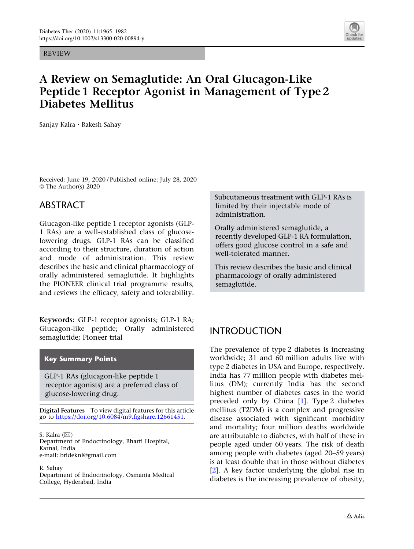REVIEW



# A Review on Semaglutide: An Oral Glucagon-Like Peptide 1 Receptor Agonist in Management of Type 2 Diabetes Mellitus

Sanjay Kalra . Rakesh Sahay

Received: June 19, 2020 / Published online: July 28, 2020 © The Author(s) 2020

#### ABSTRACT

Glucagon-like peptide 1 receptor agonists (GLP-1 RAs) are a well-established class of glucoselowering drugs. GLP-1 RAs can be classified according to their structure, duration of action and mode of administration. This review describes the basic and clinical pharmacology of orally administered semaglutide. It highlights the PIONEER clinical trial programme results, and reviews the efficacy, safety and tolerability.

Keywords: GLP-1 receptor agonists; GLP-1 RA; Glucagon-like peptide; Orally administered semaglutide; Pioneer trial

#### Key Summary Points

GLP-1 RAs (glucagon-like peptide 1 receptor agonists) are a preferred class of glucose-lowering drug.

Digital Features To view digital features for this article go to [https://doi.org/10.6084/m9.figshare.12661451.](https://doi.org/10.6084/m9.figshare.12661451)

S. Kalra  $(\boxtimes)$ Department of Endocrinology, Bharti Hospital, Karnal, India e-mail: brideknl@gmail.com

R. Sahay Department of Endocrinology, Osmania Medical College, Hyderabad, India

Subcutaneous treatment with GLP-1 RAs is limited by their injectable mode of administration.

Orally administered semaglutide, a recently developed GLP-1 RA formulation, offers good glucose control in a safe and well-tolerated manner.

This review describes the basic and clinical pharmacology of orally administered semaglutide.

#### INTRODUCTION

The prevalence of type 2 diabetes is increasing worldwide; 31 and 60 million adults live with type 2 diabetes in USA and Europe, respectively. India has 77 million people with diabetes mellitus (DM); currently India has the second highest number of diabetes cases in the world preceded only by China [[1\]](#page-14-0). Type 2 diabetes mellitus (T2DM) is a complex and progressive disease associated with significant morbidity and mortality; four million deaths worldwide are attributable to diabetes, with half of these in people aged under 60 years. The risk of death among people with diabetes (aged 20–59 years) is at least double that in those without diabetes [\[2\]](#page-14-0). A key factor underlying the global rise in diabetes is the increasing prevalence of obesity,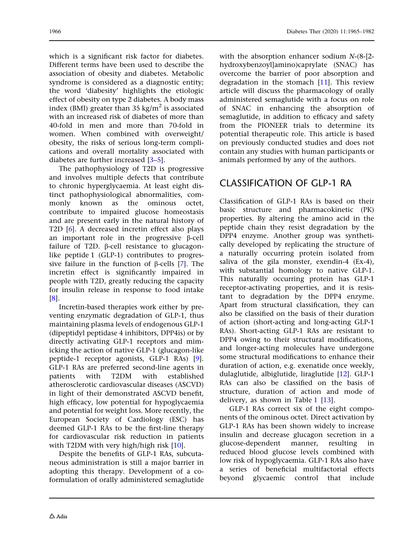which is a significant risk factor for diabetes. Different terms have been used to describe the association of obesity and diabetes. Metabolic syndrome is considered as a diagnostic entity; the word 'diabesity' highlights the etiologic effect of obesity on type 2 diabetes. A body mass index (BMI) greater than  $35 \text{ kg/m}^2$  is associated with an increased risk of diabetes of more than 40-fold in men and more than 70-fold in women. When combined with overweight/ obesity, the risks of serious long-term complications and overall mortality associated with diabetes are further increased [\[3](#page-14-0)[–5\]](#page-15-0).

The pathophysiology of T2D is progressive and involves multiple defects that contribute to chronic hyperglycaemia. At least eight distinct pathophysiological abnormalities, commonly known as the ominous octet, contribute to impaired glucose homeostasis and are present early in the natural history of T2D [\[6](#page-15-0)]. A decreased incretin effect also plays an important role in the progressive  $\beta$ -cell failure of T2D.  $\beta$ -cell resistance to glucagonlike peptide 1 (GLP-1) contributes to progressive failure in the function of  $\beta$ -cells [[7\]](#page-15-0). The incretin effect is significantly impaired in people with T2D, greatly reducing the capacity for insulin release in response to food intake [\[8\]](#page-15-0).

Incretin-based therapies work either by preventing enzymatic degradation of GLP-1, thus maintaining plasma levels of endogenous GLP-1 (dipeptidyl peptidase 4 inhibitors, DPP4is) or by directly activating GLP-1 receptors and mimicking the action of native GLP-1 (glucagon-like peptide-1 receptor agonists, GLP-1 RAs) [\[9](#page-15-0)]. GLP-1 RAs are preferred second-line agents in patients with T2DM with established patients with T2DM with established atherosclerotic cardiovascular diseases (ASCVD) in light of their demonstrated ASCVD benefit, high efficacy, low potential for hypoglycaemia and potential for weight loss. More recently, the European Society of Cardiology (ESC) has deemed GLP-1 RAs to be the first-line therapy for cardiovascular risk reduction in patients with T2DM with very high/high risk [\[10\]](#page-15-0).

Despite the benefits of GLP-1 RAs, subcutaneous administration is still a major barrier in adopting this therapy. Development of a coformulation of orally administered semaglutide hydroxybenzoyl]amino)caprylate (SNAC) has overcome the barrier of poor absorption and degradation in the stomach  $[11]$ . This review article will discuss the pharmacology of orally administered semaglutide with a focus on role of SNAC in enhancing the absorption of semaglutide, in addition to efficacy and safety from the PIONEER trials to determine its potential therapeutic role. This article is based on previously conducted studies and does not contain any studies with human participants or animals performed by any of the authors.

### CLASSIFICATION OF GLP-1 RA

Classification of GLP-1 RAs is based on their basic structure and pharmacokinetic (PK) properties. By altering the amino acid in the peptide chain they resist degradation by the DPP4 enzyme. Another group was synthetically developed by replicating the structure of a naturally occurring protein isolated from saliva of the gila monster, exendin-4 (Ex-4), with substantial homology to native GLP-1. This naturally occurring protein has GLP-1 receptor-activating properties, and it is resistant to degradation by the DPP4 enzyme. Apart from structural classification, they can also be classified on the basis of their duration of action (short-acting and long-acting GLP-1 RAs). Short-acting GLP-1 RAs are resistant to DPP4 owing to their structural modifications, and longer-acting molecules have undergone some structural modifications to enhance their duration of action, e.g. exenatide once weekly, dulaglutide, albiglutide, liraglutide [\[12\]](#page-15-0). GLP-1 RAs can also be classified on the basis of structure, duration of action and mode of delivery, as shown in Table [1](#page-2-0) [[13](#page-15-0)].

GLP-1 RAs correct six of the eight components of the ominous octet. Direct activation by GLP-1 RAs has been shown widely to increase insulin and decrease glucagon secretion in a glucose-dependent manner, resulting in reduced blood glucose levels combined with low risk of hypoglycaemia. GLP-1 RAs also have a series of beneficial multifactorial effects beyond glycaemic control that include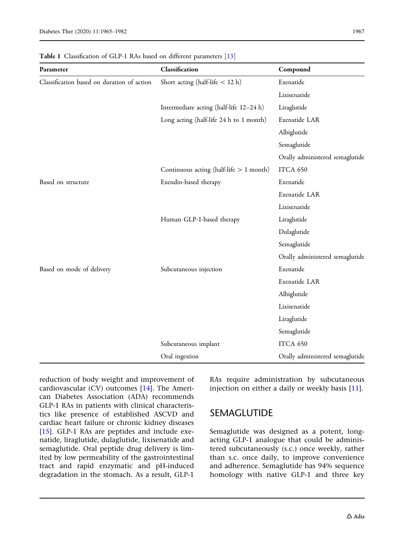| Parameter                                  | Classification                            | Compound                        |
|--------------------------------------------|-------------------------------------------|---------------------------------|
| Classification based on duration of action | Short acting (half-life $<$ 12 h)         | Exenatide                       |
|                                            |                                           | Lixisenatide                    |
|                                            | Intermediate acting (half-life 12-24 h)   | Liraglutide                     |
|                                            | Long acting (half-life 24 h to 1 month)   | Exenatide LAR                   |
|                                            |                                           | Albiglutide                     |
|                                            |                                           | Semaglutide                     |
|                                            |                                           | Orally administered semaglutide |
|                                            | Continuous acting (half-life $> 1$ month) | ITCA 650                        |
| Based on structure                         | Exendin-based therapy                     | Exenatide                       |
|                                            |                                           | Exenatide LAR                   |
|                                            |                                           | Lixisenatide                    |
|                                            | Human GLP-1-based therapy                 | Liraglutide                     |
|                                            |                                           | Dulaglutide                     |
|                                            |                                           | Semaglutide                     |
|                                            |                                           | Orally administered semaglutide |
| Based on mode of delivery                  | Subcutaneous injection                    | Exenatide                       |
|                                            |                                           | Exenatide LAR                   |
|                                            |                                           | Albiglutide                     |
|                                            |                                           | Lixisenatide                    |
|                                            |                                           | Liraglutide                     |
|                                            |                                           | Semaglutide                     |
|                                            | Subcutaneous implant                      | ITCA 650                        |
|                                            | Oral ingestion                            | Orally administered semaglutide |

<span id="page-2-0"></span>Table 1 Classification of GLP-1 RAs based on different parameters [\[13\]](#page-15-0)

reduction of body weight and improvement of cardiovascular (CV) outcomes [[14](#page-15-0)]. The American Diabetes Association (ADA) recommends GLP-1 RAs in patients with clinical characteristics like presence of established ASCVD and cardiac heart failure or chronic kidney diseases [\[15](#page-15-0)]. GLP-1 RAs are peptides and include exenatide, liraglutide, dulaglutide, lixisenatide and semaglutide. Oral peptide drug delivery is limited by low permeability of the gastrointestinal tract and rapid enzymatic and pH-induced degradation in the stomach. As a result, GLP-1

RAs require administration by subcutaneous injection on either a daily or weekly basis [\[11\]](#page-15-0).

#### SEMAGLUTIDE

Semaglutide was designed as a potent, longacting GLP-1 analogue that could be administered subcutaneously (s.c.) once weekly, rather than s.c. once daily, to improve convenience and adherence. Semaglutide has 94% sequence homology with native GLP-1 and three key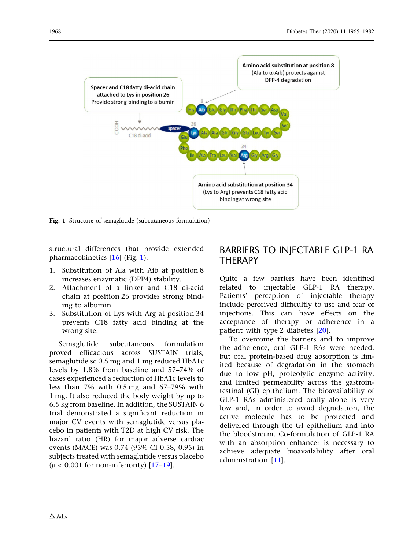

Fig. 1 Structure of semaglutide (subcutaneous formulation)

structural differences that provide extended pharmacokinetics [\[16\]](#page-15-0) (Fig. 1):

- 1. Substitution of Ala with Aib at position 8 increases enzymatic (DPP4) stability.
- 2. Attachment of a linker and C18 di-acid chain at position 26 provides strong binding to albumin.
- 3. Substitution of Lys with Arg at position 34 prevents C18 fatty acid binding at the wrong site.

Semaglutide subcutaneous formulation proved efficacious across SUSTAIN trials; semaglutide sc 0.5 mg and 1 mg reduced HbA1c levels by 1.8% from baseline and 57–74% of cases experienced a reduction of HbA1c levels to less than 7% with 0.5 mg and 67–79% with 1 mg. It also reduced the body weight by up to 6.5 kg from baseline. In addition, the SUSTAIN 6 trial demonstrated a significant reduction in major CV events with semaglutide versus placebo in patients with T2D at high CV risk. The hazard ratio (HR) for major adverse cardiac events (MACE) was 0.74 (95% CI 0.58, 0.95) in subjects treated with semaglutide versus placebo  $(p < 0.001$  for non-inferiority) [\[17–19](#page-15-0)].

#### BARRIERS TO INJECTABLE GLP-1 RA **THERAPY**

Quite a few barriers have been identified related to injectable GLP-1 RA therapy. Patients' perception of injectable therapy include perceived difficultly to use and fear of injections. This can have effects on the acceptance of therapy or adherence in a patient with type 2 diabetes [\[20\]](#page-15-0).

To overcome the barriers and to improve the adherence, oral GLP-1 RAs were needed, but oral protein-based drug absorption is limited because of degradation in the stomach due to low pH, proteolytic enzyme activity, and limited permeability across the gastrointestinal (GI) epithelium. The bioavailability of GLP-1 RAs administered orally alone is very low and, in order to avoid degradation, the active molecule has to be protected and delivered through the GI epithelium and into the bloodstream. Co-formulation of GLP-1 RA with an absorption enhancer is necessary to achieve adequate bioavailability after oral administration [\[11\]](#page-15-0).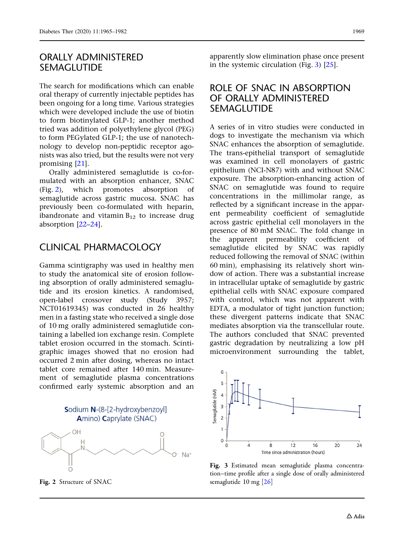#### ORALLY ADMINISTERED SEMAGLUTIDE

The search for modifications which can enable oral therapy of currently injectable peptides has been ongoing for a long time. Various strategies which were developed include the use of biotin to form biotinylated GLP-1; another method tried was addition of polyethylene glycol (PEG) to form PEGylated GLP-1; the use of nanotechnology to develop non-peptidic receptor agonists was also tried, but the results were not very promising [[21](#page-15-0)].

Orally administered semaglutide is co-formulated with an absorption enhancer, SNAC (Fig. 2), which promotes absorption of semaglutide across gastric mucosa. SNAC has previously been co-formulated with heparin, ibandronate and vitamin  $B_{12}$  to increase drug absorption [\[22–24](#page-15-0)].

#### CLINICAL PHARMACOLOGY

Gamma scintigraphy was used in healthy men to study the anatomical site of erosion following absorption of orally administered semaglutide and its erosion kinetics. A randomised, open-label crossover study (Study 3957; NCT01619345) was conducted in 26 healthy men in a fasting state who received a single dose of 10 mg orally administered semaglutide containing a labelled ion exchange resin. Complete tablet erosion occurred in the stomach. Scintigraphic images showed that no erosion had occurred 2 min after dosing, whereas no intact tablet core remained after 140 min. Measurement of semaglutide plasma concentrations confirmed early systemic absorption and an

## Sodium N-(8-[2-hydroxybenzoyl] Amino) Caprylate (SNAC)



Fig. 2 Structure of SNAC

apparently slow elimination phase once present in the systemic circulation (Fig. 3) [[25](#page-15-0)].

#### ROLE OF SNAC IN ABSORPTION OF ORALLY ADMINISTERED SEMAGLUTIDE

A series of in vitro studies were conducted in dogs to investigate the mechanism via which SNAC enhances the absorption of semaglutide. The trans-epithelial transport of semaglutide was examined in cell monolayers of gastric epithelium (NCI-N87) with and without SNAC exposure. The absorption-enhancing action of SNAC on semaglutide was found to require concentrations in the millimolar range, as reflected by a significant increase in the apparent permeability coefficient of semaglutide across gastric epithelial cell monolayers in the presence of 80 mM SNAC. The fold change in the apparent permeability coefficient of semaglutide elicited by SNAC was rapidly reduced following the removal of SNAC (within 60 min), emphasising its relatively short window of action. There was a substantial increase in intracellular uptake of semaglutide by gastric epithelial cells with SNAC exposure compared with control, which was not apparent with EDTA, a modulator of tight junction function; these divergent patterns indicate that SNAC mediates absorption via the transcellular route. The authors concluded that SNAC prevented gastric degradation by neutralizing a low pH microenvironment surrounding the tablet,



Fig. 3 Estimated mean semaglutide plasma concentration–time profile after a single dose of orally administered semaglutide 10 mg [[26](#page-15-0)]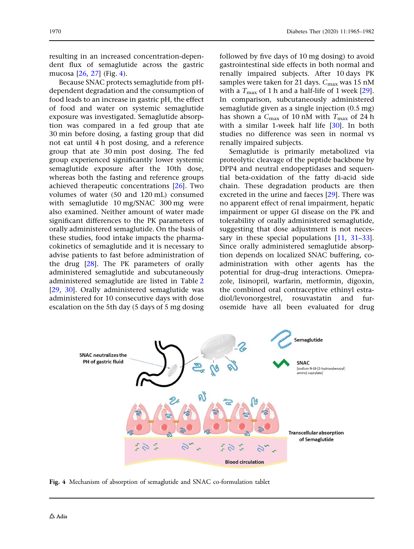resulting in an increased concentration-dependent flux of semaglutide across the gastric mucosa [\[26](#page-15-0), [27](#page-16-0)] (Fig. 4).

Because SNAC protects semaglutide from pHdependent degradation and the consumption of food leads to an increase in gastric pH, the effect of food and water on systemic semaglutide exposure was investigated. Semaglutide absorption was compared in a fed group that ate 30 min before dosing, a fasting group that did not eat until 4 h post dosing, and a reference group that ate 30 min post dosing. The fed group experienced significantly lower systemic semaglutide exposure after the 10th dose, whereas both the fasting and reference groups achieved therapeutic concentrations [\[26\]](#page-15-0). Two volumes of water (50 and 120 mL) consumed with semaglutide 10 mg/SNAC 300 mg were also examined. Neither amount of water made significant differences to the PK parameters of orally administered semaglutide. On the basis of these studies, food intake impacts the pharmacokinetics of semaglutide and it is necessary to advise patients to fast before administration of the drug [\[28\]](#page-16-0). The PK parameters of orally administered semaglutide and subcutaneously administered semaglutide are listed in Table [2](#page-6-0) [\[29,](#page-16-0) [30\]](#page-16-0). Orally administered semaglutide was administered for 10 consecutive days with dose escalation on the 5th day (5 days of 5 mg dosing followed by five days of 10 mg dosing) to avoid gastrointestinal side effects in both normal and renally impaired subjects. After 10 days PK samples were taken for 21 days.  $C_{\text{max}}$  was 15 nM with a  $T_{\text{max}}$  of 1 h and a half-life of 1 week [[29](#page-16-0)]. In comparison, subcutaneously administered semaglutide given as a single injection (0.5 mg) has shown a  $C_{\text{max}}$  of 10 nM with  $T_{\text{max}}$  of 24 h with a similar 1-week half life [\[30\]](#page-16-0). In both studies no difference was seen in normal vs renally impaired subjects.

Semaglutide is primarily metabolized via proteolytic cleavage of the peptide backbone by DPP4 and neutral endopeptidases and sequential beta-oxidation of the fatty di-acid side chain. These degradation products are then excreted in the urine and faeces [\[29\]](#page-16-0). There was no apparent effect of renal impairment, hepatic impairment or upper GI disease on the PK and tolerability of orally administered semaglutide, suggesting that dose adjustment is not neces-sary in these special populations [[11](#page-15-0), [31–33](#page-16-0)]. Since orally administered semaglutide absorption depends on localized SNAC buffering, coadministration with other agents has the potential for drug–drug interactions. Omeprazole, lisinopril, warfarin, metformin, digoxin, the combined oral contraceptive ethinyl estradiol/levonorgestrel, rosuvastatin and furosemide have all been evaluated for drug



Fig. 4 Mechanism of absorption of semaglutide and SNAC co-formulation tablet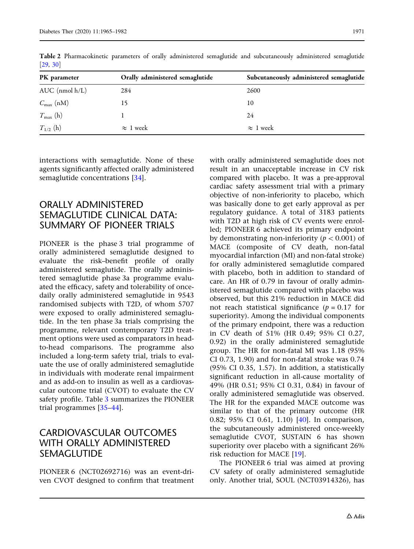| PK parameter          | Orally administered semaglutide | Subcutaneously administered semaglutide |
|-----------------------|---------------------------------|-----------------------------------------|
| $AUC$ (nmol $h/L$ )   | 284                             | 2600                                    |
| $C_{\text{max}}$ (nM) |                                 | 10                                      |
| $T_{\text{max}}$ (h)  |                                 | 24                                      |
| $T_{1/2}$ (h)         | $\approx 1$ week                | $\approx$ 1 week                        |

<span id="page-6-0"></span>Table 2 Pharmacokinetic parameters of orally administered semaglutide and subcutaneously administered semaglutide [\[29,](#page-16-0) [30](#page-16-0)]

interactions with semaglutide. None of these agents significantly affected orally administered semaglutide concentrations [[34](#page-16-0)].

#### ORALLY ADMINISTERED SEMAGLUTIDE CLINICAL DATA: SUMMARY OF PIONEER TRIALS

PIONEER is the phase 3 trial programme of orally administered semaglutide designed to evaluate the risk–benefit profile of orally administered semaglutide. The orally administered semaglutide phase 3a programme evaluated the efficacy, safety and tolerability of oncedaily orally administered semaglutide in 9543 randomised subjects with T2D, of whom 5707 were exposed to orally administered semaglutide. In the ten phase 3a trials comprising the programme, relevant contemporary T2D treatment options were used as comparators in headto-head comparisons. The programme also included a long-term safety trial, trials to evaluate the use of orally administered semaglutide in individuals with moderate renal impairment and as add-on to insulin as well as a cardiovascular outcome trial (CVOT) to evaluate the CV safety profile. Table [3](#page-7-0) summarizes the PIONEER trial programmes [[35–44\]](#page-16-0).

#### CARDIOVASCULAR OUTCOMES WITH ORALLY ADMINISTERED SEMAGLUTIDE

PIONEER 6 (NCT02692716) was an event-driven CVOT designed to confirm that treatment with orally administered semaglutide does not result in an unacceptable increase in CV risk compared with placebo. It was a pre-approval cardiac safety assessment trial with a primary objective of non-inferiority to placebo, which was basically done to get early approval as per regulatory guidance. A total of 3183 patients with T2D at high risk of CV events were enrolled; PIONEER 6 achieved its primary endpoint by demonstrating non-inferiority ( $p < 0.001$ ) of MACE (composite of CV death, non-fatal myocardial infarction (MI) and non-fatal stroke) for orally administered semaglutide compared with placebo, both in addition to standard of care. An HR of 0.79 in favour of orally administered semaglutide compared with placebo was observed, but this 21% reduction in MACE did not reach statistical significance ( $p = 0.17$  for superiority). Among the individual components of the primary endpoint, there was a reduction in CV death of 51% (HR 0.49; 95% CI 0.27, 0.92) in the orally administered semaglutide group. The HR for non-fatal MI was 1.18 (95% CI 0.73, 1.90) and for non-fatal stroke was 0.74 (95% CI 0.35, 1.57). In addition, a statistically significant reduction in all-cause mortality of 49% (HR 0.51; 95% CI 0.31, 0.84) in favour of orally administered semaglutide was observed. The HR for the expanded MACE outcome was similar to that of the primary outcome (HR 0.82; 95% CI 0.61, 1.10) [[40\]](#page-16-0). In comparison, the subcutaneously administered once-weekly semaglutide CVOT, SUSTAIN 6 has shown superiority over placebo with a significant 26% risk reduction for MACE [\[19](#page-15-0)].

The PIONEER 6 trial was aimed at proving CV safety of orally administered semaglutide only. Another trial, SOUL (NCT03914326), has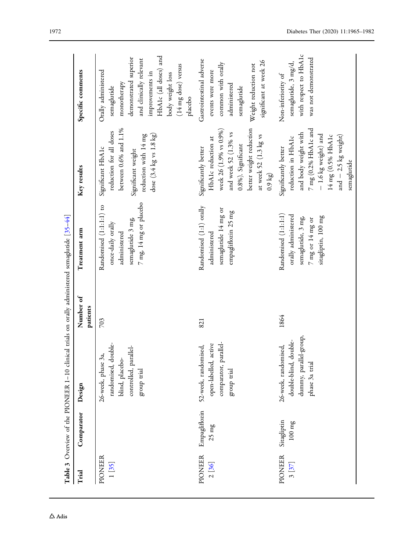<span id="page-7-0"></span>

|                                                |                                     | Table 3 Overview of the PIONEER 1-10 clinical trials on orally administered semaglutide [35-44]      |                       |                                                                                                                              |                                                                                                                                                                                                         |                                                                                                                                                                                                         |
|------------------------------------------------|-------------------------------------|------------------------------------------------------------------------------------------------------|-----------------------|------------------------------------------------------------------------------------------------------------------------------|---------------------------------------------------------------------------------------------------------------------------------------------------------------------------------------------------------|---------------------------------------------------------------------------------------------------------------------------------------------------------------------------------------------------------|
| Trial                                          | Comparator                          | Design                                                                                               | Number of<br>patients | Treatment arm                                                                                                                | Key results                                                                                                                                                                                             | Specific comments                                                                                                                                                                                       |
| PIONEER<br>$1\begin{bmatrix} 35 \end{bmatrix}$ |                                     | randomised, double-<br>controlled, parallel-<br>26-week, phase 3a,<br>blind, placebo-<br>group trial | 703                   | $7~\mathrm{mg}$ 14 mg or place<br>bo<br>Randomised (1:1:1:1) to<br>semaglutide 3 mg,<br>once-daily orally<br>administered    | between 0.6% and $1.1\%$<br>reduction for all doses<br>dose $(3.4 \text{ kg vs } 1.8 \text{ kg})$<br>reduction with 14 mg<br>Significant HbA1c<br>Significant weight                                    | HbA1c (all doses) and<br>demonstrated superior<br>and clinically relevant<br>(14 mg dose) versus<br>Orally administered<br>improvements in<br>body weight loss<br>monotherapy<br>semaglutide<br>placebo |
| PIONEER<br>$2^{136}$                           | Empagliflozin<br>$25 \ \mathrm{mg}$ | comparator, parallel-<br>active<br>52-week, randomised,<br>open-labelled,<br>group trial             | 821                   | Randomised (1:1) orally<br>semaglutide 14 mg or<br>empagliflozin 25 mg<br>administered                                       | better weight reduction<br>week 26 (1.9% vs 0.9%)<br>and week 52 (1.3% vs<br>at week 52 (1.3 kg vs<br>HbA1c reduction at<br>0.8%). Significant<br>Significantly better<br>(5160)                        | Gastrointestinal adverse<br>significant at week 26<br>common with orally<br>Weight reduction not<br>events were more<br>administered<br>semaglutide                                                     |
| <b>PIONEER</b><br>3[37]                        | Sitagliptin<br>$100~\mathrm{mg}$    | dummy, parallel-group,<br>double-<br>26-week, randomised,<br>phase 3a trial<br>double-blind,         | 1864                  | Randomised (1:1:1:1)<br>orally administered<br>sitagliptin, 100 mg<br>semaglutide, 3 mg,<br>$7 \:\rm mg$ or $14 \:\rm mg$ or | $7~\mathrm{mg}$ (0.2% HbA1c and<br>and body weight with<br>- 1.6 kg weight) and<br>and $-2.5$ kg weight)<br>$14 \mathrm{\,mg}$ (0.5% HbA1c<br>reduction in HbA1c<br>Significantly better<br>semaglutide | with respect to HbA1c<br>was not demonstrated<br>semaglutide, 3 mg/d,<br>Non-inferiority of                                                                                                             |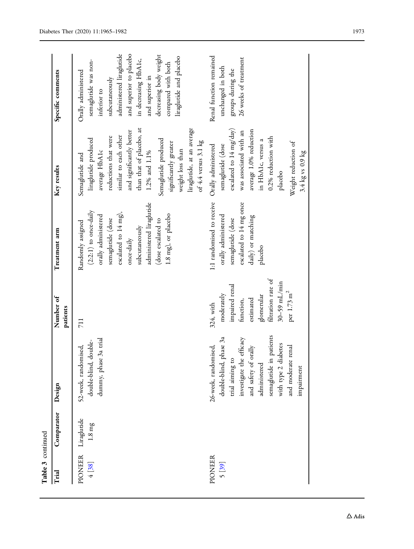| Table 3 continued       |                                    |                                                                                                                                                                                                                                    |                                                                                                                                                      |                                                                                                                                                                                                                           |                                                                                                                                                                                                                                                                                                                        |                                                                                                                                                                                                                                                           |
|-------------------------|------------------------------------|------------------------------------------------------------------------------------------------------------------------------------------------------------------------------------------------------------------------------------|------------------------------------------------------------------------------------------------------------------------------------------------------|---------------------------------------------------------------------------------------------------------------------------------------------------------------------------------------------------------------------------|------------------------------------------------------------------------------------------------------------------------------------------------------------------------------------------------------------------------------------------------------------------------------------------------------------------------|-----------------------------------------------------------------------------------------------------------------------------------------------------------------------------------------------------------------------------------------------------------|
| Trial                   | Comparator                         | Design                                                                                                                                                                                                                             | Number of<br>patients                                                                                                                                | Treatment arm                                                                                                                                                                                                             | Key results                                                                                                                                                                                                                                                                                                            | Specific comments                                                                                                                                                                                                                                         |
| PIONEER<br>4[38]        | Liragutide<br>$1.8 \; \mathrm{mg}$ | dummy, phase 3a trial<br>double-blind, double-<br>52-week, randomised,                                                                                                                                                             | 711                                                                                                                                                  | administered liraglutide<br>$(2:2:1)$ to once-daily<br>escalated to 14 mg),<br>1.8 mg), or placebo<br>orally administered<br>semaglutide (dose<br>(dose escalated to<br>Randomly assigned<br>subcutaneously<br>once-daily | than that of placebo, at<br>liraglutide, at an average<br>and significantly better<br>similar to each other<br>reductions that were<br>liraglutide produced<br>Semaglutide produced<br>of $4.4$ versus $3.1$ kg<br>significantly greater<br>weight loss than<br>average HbA1c<br>$1.2\%$ and $1.1\%$<br>Semagutide and | administered liraglutide<br>and superior to placebo<br>decreasing body weight<br>liraglutide and placebo<br>in decreasing HbA1c,<br>semaglutide was non-<br>compared with both<br>Orally administered<br>and superior in<br>subcutaneously<br>inferior to |
| <b>PIONEER</b><br>5[39] |                                    | in patients<br>double-blind, phase 3a<br>investigate the efficacy<br>diabetes<br>26-week, randomised,<br>and moderate renal<br>and safety of orally<br>trial aiming to<br>administered<br>semaglutide<br>with type 2<br>impairment | filtration rate of<br>$30-59$ mL/min<br>impaired renal<br>per 1.73 m <sup>2</sup><br>moderately<br>glomerular<br>estimated<br>function,<br>324, with | 1:1 randomised to receive<br>escalated to 14 mg once<br>orally administered<br>daily) or matching<br>semaglutide (dose<br>placebo                                                                                         | escalated to 14 mg/day)<br>average 1.0% reduction<br>was associated with an<br>$0.2\%$ reduction with<br>in HbA1c, versus a<br>Weight reduction of<br>semaglutide (dose<br>Orally administered<br>3.4 $kg$ vs 0.9 $kg$<br>placebo                                                                                      | Renal function remained<br>26 weeks of treatment<br>unchanged in both<br>groups during the                                                                                                                                                                |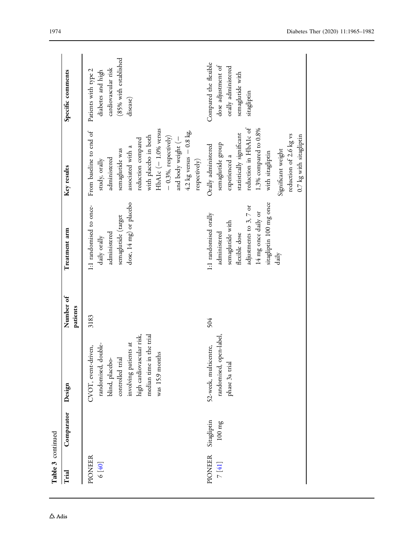| Table 3 continued |                                  |                                                                                                                                                                                        |                       |                                                                                                                                                                 |                                                                                                                                                                                                                                                                         |                                                                                                       |
|-------------------|----------------------------------|----------------------------------------------------------------------------------------------------------------------------------------------------------------------------------------|-----------------------|-----------------------------------------------------------------------------------------------------------------------------------------------------------------|-------------------------------------------------------------------------------------------------------------------------------------------------------------------------------------------------------------------------------------------------------------------------|-------------------------------------------------------------------------------------------------------|
| Trial             | Comparator                       | Design                                                                                                                                                                                 | Number of<br>patients | Treatment arm                                                                                                                                                   | Key results                                                                                                                                                                                                                                                             | Specific comments                                                                                     |
| PIONEER<br>6[40]  |                                  | median time in the trial<br>high cardiovascular risk,<br>involving patients at<br>randomised, double-<br>CVOT, event-driven,<br>was 15.9 months<br>controlled trial<br>blind, placebo- | 3183                  | dose, 14 mg) or placebo<br>1:1 randomised to once-<br>semaglutide (target<br>administered<br>daily orally                                                       | HbA1c $(-1.0\%$ versus<br>$4.2$ kg versus $-0.8$ kg<br>From baseline to end of<br>with placebo in both<br>$-$ 0.3%, respectively)<br>and body weight (-<br>reduction compared<br>associated with a<br>semaglutide was<br>administered<br>respectively)<br>study, orally | (85% with established<br>cardiovascular risk<br>Patients with type 2<br>diabetes and high<br>disease) |
| PIONEER<br>7[41]  | Sitagliptin<br>$100~\mathrm{mg}$ | randomised, open-label<br>52-week, multicentre,<br>phase 3a trial                                                                                                                      | 504                   | sitagliptin 100 mg once<br>adjustments to 3, 7 or<br>14 mg once daily or<br>1:1 randomised orally<br>semaglutide with<br>administered<br>flexible dose<br>daily | reduction in HbA1c of<br>$1.3\%$ compared to $0.8\%$<br>statistically significant<br>reduction of 2.6 kg vs<br>0.7 kg with sitagliptin<br>semaglutide group<br>Orally administered<br>Significant weight<br>with sitagliptin<br>experienced a                           | Compared the flexible<br>dose adjustment of<br>orally administered<br>semaglutide with<br>sitagliptin |

 $\Delta$ Adis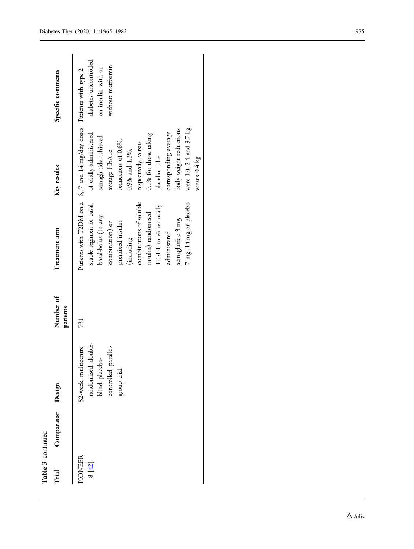| Trial             | Comparator Design |                                                                                                         | Number of<br>patients | Treatment arm                                                                                                                                                                                                                                     | Key results                                                                                                                                                                                                                                                                                                                                               | Specific comments                                                |
|-------------------|-------------------|---------------------------------------------------------------------------------------------------------|-----------------------|---------------------------------------------------------------------------------------------------------------------------------------------------------------------------------------------------------------------------------------------------|-----------------------------------------------------------------------------------------------------------------------------------------------------------------------------------------------------------------------------------------------------------------------------------------------------------------------------------------------------------|------------------------------------------------------------------|
| PIONEER<br>8 [42] |                   | randomised, double-<br>52-week, multicentre,<br>controlled, parallel-<br>blind, placebo-<br>group trial | 731                   | combinations of soluble<br>7 mg, 14 mg or placebo<br>stable regimen of basal,<br>1:1:1:1 to either orally<br>insulin) randomised<br>basal-bolus (in any<br>semaglutide 3 mg,<br>premixed insulin<br>combination) or<br>administered<br>(including | Patients with T2DM on a 3, 7 and 14 mg/day doses Patients with type 2<br>were 1.4, 2.4 and 3.7 kg<br>body weight reductions<br>corresponding average<br>of orally administered<br>0.1% for those taking<br>semaglutide achieved<br>reductions of 0.6%,<br>respectively, versus<br>$0.9\%$ and $1.3\%$ ,<br>average HbA1c<br>placebo. The<br>versus 0.4 kg | diabetes uncontrolled<br>without metformin<br>on insulin with or |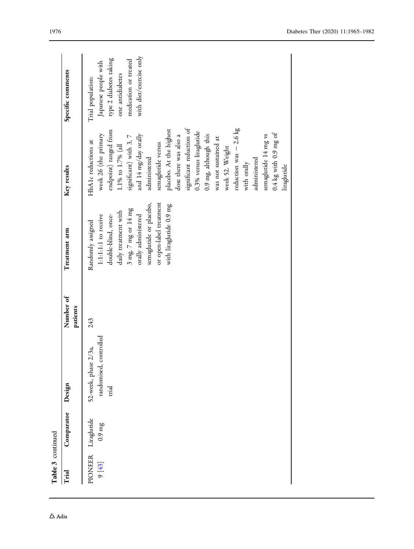| Table 3 continued |                                   |                                                                  |                       |                                                                                                                                                                                                                                 |                                                                                                                                                                                                                                                                                                                                                                                                                                                                                             |                                                                                                                                             |
|-------------------|-----------------------------------|------------------------------------------------------------------|-----------------------|---------------------------------------------------------------------------------------------------------------------------------------------------------------------------------------------------------------------------------|---------------------------------------------------------------------------------------------------------------------------------------------------------------------------------------------------------------------------------------------------------------------------------------------------------------------------------------------------------------------------------------------------------------------------------------------------------------------------------------------|---------------------------------------------------------------------------------------------------------------------------------------------|
| Trial             | Comparator                        | Design                                                           | Number of<br>patients | Treatment arm                                                                                                                                                                                                                   | Key results                                                                                                                                                                                                                                                                                                                                                                                                                                                                                 | Specific comments                                                                                                                           |
| PIONEER<br>9 [43] | Liraglutide<br>$0.9\,\mathrm{mg}$ | controlled<br>52-week, phase 2/3a,<br>randomised,<br><b>Tial</b> | 243                   | or open-label treatment<br>semaglutide or placebo,<br>with liraglutide 0.9 mg<br>$3 \ \text{mg}$ 7 mg or 14 mg<br>daily treatment with<br>double-blind, once-<br>1:1:1:1 to receive<br>orally administered<br>Randomly assigned | reduction was $-2.6$ kg<br>significant reduction of<br>placebo. At the highest<br>endpoint) ranged from<br>0.3% versus liraglutide<br>$0.4$ kg with 0.9 mg of<br>week 26 (the primary<br>and 14 mg/day orally<br>0.9 mg, although this<br>semaglutide 14 mg vs<br>dose there was also a<br>significant) with 3, 7<br>was not sustained at<br>HbA1c reductions at<br>semaglutide versus<br>1.1% to 1.7% (all<br>week 52. Weight<br>administered<br>administered<br>with orally<br>liraguride | with diet/exercise only<br>type 2 diabetes taking<br>medication or treated<br>Japanese people with<br>one antidiabetes<br>Trial population: |
|                   |                                   |                                                                  |                       |                                                                                                                                                                                                                                 |                                                                                                                                                                                                                                                                                                                                                                                                                                                                                             |                                                                                                                                             |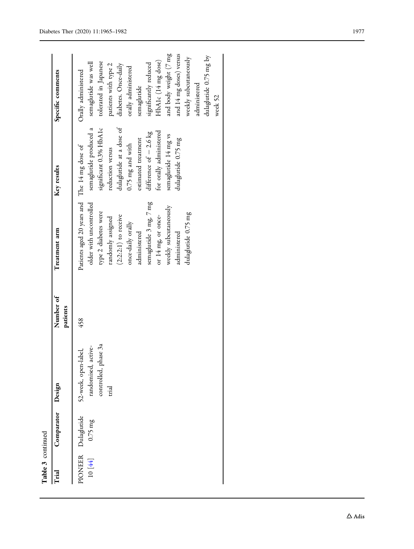| Table 3 continued |                                         |                                                                                 |                       |                                                                                                                                                                                                                                                                                                   |                                                                                                                                                                                                                                                    |                                                                                                                                                                                                                                                                                                                                  |
|-------------------|-----------------------------------------|---------------------------------------------------------------------------------|-----------------------|---------------------------------------------------------------------------------------------------------------------------------------------------------------------------------------------------------------------------------------------------------------------------------------------------|----------------------------------------------------------------------------------------------------------------------------------------------------------------------------------------------------------------------------------------------------|----------------------------------------------------------------------------------------------------------------------------------------------------------------------------------------------------------------------------------------------------------------------------------------------------------------------------------|
| Trial             | Comparator                              | Design                                                                          | Number of<br>patients | Treatment arm                                                                                                                                                                                                                                                                                     | Key results                                                                                                                                                                                                                                        | Specific comments                                                                                                                                                                                                                                                                                                                |
|                   | PIONEER Dulaguride<br>10 $[44]$ 0.75 mg | controlled, phase 3a<br>active-<br>52-week, open-label,<br>randomised,<br>trial | 458                   | Patients aged 20 years and The 14 mg dose of<br>semaglutide 3 mg 7 mg<br>older with uncontrolled<br>weekly subcutaneously<br>type 2 diabetes were<br>dulaglutide 0.75 mg<br>$(2:2:2:1)$ to receive<br>or 14 mg or once-<br>randomly assigned<br>once-daily orally<br>administered<br>administered | dulaglutide at a dose of<br>significant 0.3% HbA1c<br>semaglutide produced a<br>for orally administered<br>difference of $-2.6$ kg<br>semaglutide 14 mg vs<br>dulaglutide 0.75 mg<br>estimated treatment<br>$0.75$ mg and with<br>reduction versus | and body weight (7 mg<br>and 14 mg doses) versus<br>dulaglutide 0.75 mg by<br>weekly subcutaneously<br>HbA1c (14 mg dose)<br>tolerated in Japanese<br>semaglutide was well<br>significantly reduced<br>patients with type 2<br>diabetes. Once-daily<br>orally administered<br>Orally administered<br>administered<br>semaglutide |
|                   |                                         |                                                                                 |                       |                                                                                                                                                                                                                                                                                                   |                                                                                                                                                                                                                                                    | week 52                                                                                                                                                                                                                                                                                                                          |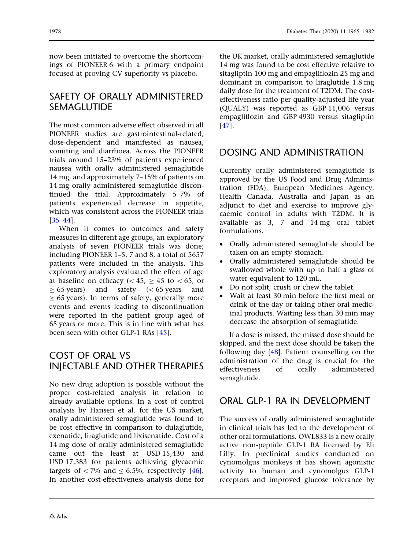now been initiated to overcome the shortcomings of PIONEER 6 with a primary endpoint focused at proving CV superiority vs placebo.

#### SAFETY OF ORALLY ADMINISTERED SEMAGLUTIDE

The most common adverse effect observed in all PIONEER studies are gastrointestinal-related, dose-dependent and manifested as nausea, vomiting and diarrhoea. Across the PIONEER trials around 15–23% of patients experienced nausea with orally administered semaglutide 14 mg, and approximately 7–15% of patients on 14 mg orally administered semaglutide discontinued the trial. Approximately 5–7% of patients experienced decrease in appetite, which was consistent across the PIONEER trials [\[35–44](#page-16-0)].

When it comes to outcomes and safety measures in different age groups, an exploratory analysis of seven PIONEER trials was done; including PIONEER 1–5, 7 and 8, a total of 5657 patients were included in the analysis. This exploratory analysis evaluated the effect of age at baseline on efficacy ( $\lt$  45,  $>$  45 to  $\lt$  65, or  $> 65$  years) and safety ( $< 65$  years and  $\geq$  65 years). In terms of safety, generally more events and events leading to discontinuation were reported in the patient group aged of 65 years or more. This is in line with what has been seen with other GLP-1 RAs [\[45](#page-16-0)].

#### COST OF ORAL VS INJECTABLE AND OTHER THERAPIES

No new drug adoption is possible without the proper cost-related analysis in relation to already available options. In a cost of control analysis by Hansen et al. for the US market, orally administered semaglutide was found to be cost effective in comparison to dulaglutide, exenatide, liraglutide and lixisenatide. Cost of a 14 mg dose of orally administered semaglutide came out the least at USD 15,430 and USD 17,383 for patients achieving glycaemic targets of  $\lt$  7% and  $\lt$  6.5%, respectively [[46](#page-16-0)]. In another cost-effectiveness analysis done for

the UK market, orally administered semaglutide 14 mg was found to be cost effective relative to sitagliptin 100 mg and empagliflozin 25 mg and dominant in comparison to liraglutide 1.8 mg daily dose for the treatment of T2DM. The costeffectiveness ratio per quality-adjusted life year (QUALY) was reported as GBP 11,006 versus empagliflozin and GBP 4930 versus sitagliptin [\[47\]](#page-16-0).

#### DOSING AND ADMINISTRATION

Currently orally administered semaglutide is approved by the US Food and Drug Administration (FDA), European Medicines Agency, Health Canada, Australia and Japan as an adjunct to diet and exercise to improve glycaemic control in adults with T2DM. It is available as 3, 7 and 14 mg oral tablet formulations.

- Orally administered semaglutide should be taken on an empty stomach.
- Orally administered semaglutide should be swallowed whole with up to half a glass of water equivalent to 120 mL.
- Do not split, crush or chew the tablet.
- Wait at least 30 min before the first meal or drink of the day or taking other oral medicinal products. Waiting less than 30 min may decrease the absorption of semaglutide.

If a dose is missed, the missed dose should be skipped, and the next dose should be taken the following day [\[48\]](#page-17-0). Patient counselling on the administration of the drug is crucial for the effectiveness of orally administered semaglutide.

#### ORAL GLP-1 RA IN DEVELOPMENT

The success of orally administered semaglutide in clinical trials has led to the development of other oral formulations. OWL833 is a new orally active non-peptide GLP-1 RA licensed by Eli Lilly. In preclinical studies conducted on cynomolgus monkeys it has shown agonistic activity to human and cynomolgus GLP-1 receptors and improved glucose tolerance by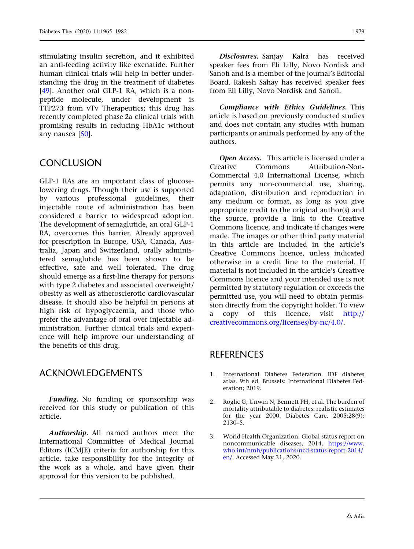<span id="page-14-0"></span>stimulating insulin secretion, and it exhibited an anti-feeding activity like exenatide. Further human clinical trials will help in better understanding the drug in the treatment of diabetes [\[49](#page-17-0)]. Another oral GLP-1 RA, which is a nonpeptide molecule, under development is TTP273 from vTv Therapeutics; this drug has recently completed phase 2a clinical trials with promising results in reducing HbA1c without any nausea [[50](#page-17-0)].

#### **CONCLUSION**

GLP-1 RAs are an important class of glucoselowering drugs. Though their use is supported by various professional guidelines, their injectable route of administration has been considered a barrier to widespread adoption. The development of semaglutide, an oral GLP-1 RA, overcomes this barrier. Already approved for prescription in Europe, USA, Canada, Australia, Japan and Switzerland, orally administered semaglutide has been shown to be effective, safe and well tolerated. The drug should emerge as a first-line therapy for persons with type 2 diabetes and associated overweight/ obesity as well as atherosclerotic cardiovascular disease. It should also be helpful in persons at high risk of hypoglycaemia, and those who prefer the advantage of oral over injectable administration. Further clinical trials and experience will help improve our understanding of the benefits of this drug.

#### ACKNOWLEDGEMENTS

Funding. No funding or sponsorship was received for this study or publication of this article.

Authorship. All named authors meet the International Committee of Medical Journal Editors (ICMJE) criteria for authorship for this article, take responsibility for the integrity of the work as a whole, and have given their approval for this version to be published.

Disclosures. Sanjay Kalra has received speaker fees from Eli Lilly, Novo Nordisk and Sanofi and is a member of the journal's Editorial Board. Rakesh Sahay has received speaker fees from Eli Lilly, Novo Nordisk and Sanofi.

Compliance with Ethics Guidelines. This article is based on previously conducted studies and does not contain any studies with human participants or animals performed by any of the authors.

Open Access. This article is licensed under a Creative Commons Attribution-Non-Commercial 4.0 International License, which permits any non-commercial use, sharing, adaptation, distribution and reproduction in any medium or format, as long as you give appropriate credit to the original author(s) and the source, provide a link to the Creative Commons licence, and indicate if changes were made. The images or other third party material in this article are included in the article's Creative Commons licence, unless indicated otherwise in a credit line to the material. If material is not included in the article's Creative Commons licence and your intended use is not permitted by statutory regulation or exceeds the permitted use, you will need to obtain permission directly from the copyright holder. To view a copy of this licence, visit [http://](http://creativecommons.org/licenses/by-nc/4.0/) [creativecommons.org/licenses/by-nc/4.0/](http://creativecommons.org/licenses/by-nc/4.0/).

### **REFERENCES**

- 1. International Diabetes Federation. IDF diabetes atlas. 9th ed. Brussels: International Diabetes Federation; 2019.
- 2. Roglic G, Unwin N, Bennett PH, et al. The burden of mortality attributable to diabetes: realistic estimates for the year 2000. Diabetes Care. 2005;28(9): 2130–5.
- 3. World Health Organization. Global status report on noncommunicable diseases, 2014. [https://www.](https://www.who.int/nmh/publications/ncd-status-report-2014/en/) [who.int/nmh/publications/ncd-status-report-2014/](https://www.who.int/nmh/publications/ncd-status-report-2014/en/) [en/](https://www.who.int/nmh/publications/ncd-status-report-2014/en/). Accessed May 31, 2020.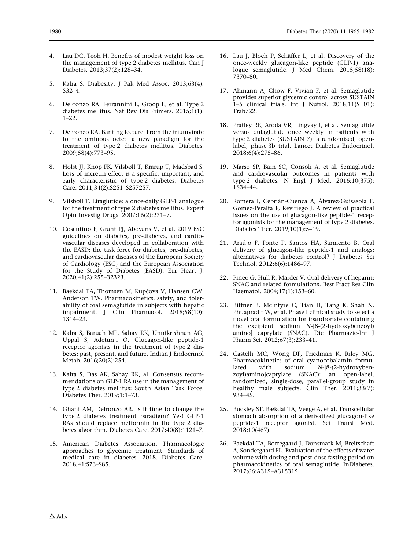- <span id="page-15-0"></span>
- Lau DC, Teoh H. Benefits of modest weight loss on the management of type 2 diabetes mellitus. Can J Diabetes. 2013;37(2):128–34.
- 5. Kalra S. Diabesity. J Pak Med Assoc. 2013;63(4): 532–4.
- 6. DeFronzo RA, Ferrannini E, Groop L, et al. Type 2 diabetes mellitus. Nat Rev Dis Primers. 2015;1(1): 1–22.
- 7. DeFronzo RA. Banting lecture. From the triumvirate to the ominous octet: a new paradigm for the treatment of type 2 diabetes mellitus. Diabetes. 2009;58(4):773–95.
- Holst JJ, Knop FK, Vilsbøll T, Krarup T, Madsbad S. Loss of incretin effect is a specific, important, and early characteristic of type 2 diabetes. Diabetes Care. 2011;34(2):S251–S257257.
- 9. Vilsbøll T. Liraglutide: a once-daily GLP-1 analogue for the treatment of type 2 diabetes mellitus. Expert Opin Investig Drugs. 2007;16(2):231–7.
- 10. Cosentino F, Grant PJ, Aboyans V, et al. 2019 ESC guidelines on diabetes, pre-diabetes, and cardiovascular diseases developed in collaboration with the EASD: the task force for diabetes, pre-diabetes, and cardiovascular diseases of the European Society of Cardiology (ESC) and the European Association for the Study of Diabetes (EASD). Eur Heart J. 2020;41(2):255–32323.
- 11. Baekdal TA, Thomsen M, Kupčova V, Hansen CW, Anderson TW. Pharmacokinetics, safety, and tolerability of oral semaglutide in subjects with hepatic impairment. J Clin Pharmacol. 2018;58(10): 1314–23.
- 12. Kalra S, Baruah MP, Sahay RK, Unnikrishnan AG, Uppal S, Adetunji O. Glucagon-like peptide-1 receptor agonists in the treatment of type 2 diabetes: past, present, and future. Indian J Endocrinol Metab. 2016;20(2):254.
- 13. Kalra S, Das AK, Sahay RK, al. Consensus recommendations on GLP-1 RA use in the management of type 2 diabetes mellitus: South Asian Task Force. Diabetes Ther. 2019;1:1–73.
- 14. Ghani AM, Defronzo AR. Is it time to change the type 2 diabetes treatment paradigm? Yes! GLP-1 RAs should replace metformin in the type 2 diabetes algorithm. Diabetes Care. 2017;40(8):1121–7.
- 15. American Diabetes Association. Pharmacologic approaches to glycemic treatment. Standards of medical care in diabetes—2018. Diabetes Care. 2018;41:S73–S85.
- 16. Lau J, Bloch P, Schäffer L, et al. Discovery of the once-weekly glucagon-like peptide (GLP-1) analogue semaglutide. J Med Chem. 2015;58(18): 7370–80.
- 17. Ahmann A, Chow F, Vivian F, et al. Semaglutide provides superior glycemic control across SUSTAIN 1–5 clinical trials. Int J Nutrol. 2018;11(S 01): Trab722.
- 18. Pratley RE, Aroda VR, Lingvay I, et al. Semaglutide versus dulaglutide once weekly in patients with type 2 diabetes (SUSTAIN 7): a randomised, openlabel, phase 3b trial. Lancet Diabetes Endocrinol. 2018;6(4):275–86.
- 19. Marso SP, Bain SC, Consoli A, et al. Semaglutide and cardiovascular outcomes in patients with type 2 diabetes. N Engl J Med. 2016;10(375): 1834–44.
- 20. Romera I, Cebrián-Cuenca A, Álvarez-Guisasola F, Gomez-Peralta F, Reviriego J. A review of practical issues on the use of glucagon-like peptide-1 receptor agonists for the management of type 2 diabetes. Diabetes Ther. 2019;10(1):5–19.
- 21. Arau´jo F, Fonte P, Santos HA, Sarmento B. Oral delivery of glucagon-like peptide-1 and analogs: alternatives for diabetes control? J Diabetes Sci Technol. 2012;6(6):1486–97.
- 22. Pineo G, Hull R, Marder V. Oral delivery of heparin: SNAC and related formulations. Best Pract Res Clin Haematol. 2004;17(1):153–60.
- 23. Bittner B, McIntyre C, Tian H, Tang K, Shah N, Phuapradit W, et al. Phase I clinical study to select a novel oral formulation for ibandronate containing the excipient sodium N-[8-(2-hydroxybenzoyl) amino] caprylate (SNAC). Die Pharmazie-Int J Pharm Sci. 2012;67(3):233–41.
- 24. Castelli MC, Wong DF, Friedman K, Riley MG. Pharmacokinetics of oral cyanocobalamin formulated with sodium N-[8-(2-hydroxybenzoyl)amino]caprylate (SNAC): an open-label, randomized, single-dose, parallel-group study in healthy male subjects. Clin Ther. 2011;33(7): 934–45.
- 25. Buckley ST, Bækdal TA, Vegge A, et al. Transcellular stomach absorption of a derivatized glucagon-like peptide-1 receptor agonist. Sci Transl Med. 2018;10(467).
- 26. Baekdal TA, Borregaard J, Donsmark M, Breitschaft A, Sondergaard FL. Evaluation of the effects of water volume with dosing and post-dose fasting period on pharmacokinetics of oral semaglutide. InDiabetes. 2017;66:A315–A315315.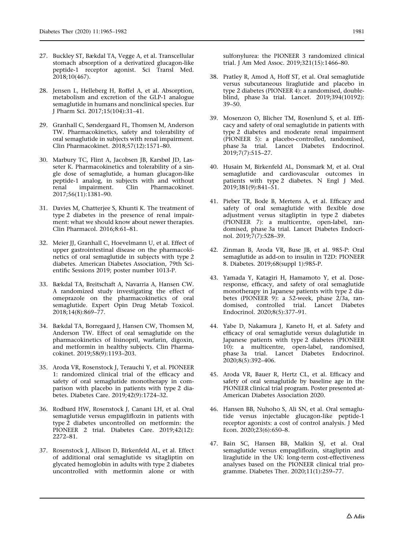- <span id="page-16-0"></span>27. Buckley ST, Bækdal TA, Vegge A, et al. Transcellular stomach absorption of a derivatized glucagon-like peptide-1 receptor agonist. Sci Transl Med. 2018;10(467).
- 28. Jensen L, Helleberg H, Roffel A, et al. Absorption, metabolism and excretion of the GLP-1 analogue semaglutide in humans and nonclinical species. Eur J Pharm Sci. 2017;15(104):31–41.
- 29. Granhall C, Søndergaard FL, Thomsen M, Anderson TW. Pharmacokinetics, safety and tolerability of oral semaglutide in subjects with renal impairment. Clin Pharmacokinet. 2018;57(12):1571–80.
- 30. Marbury TC, Flint A, Jacobsen JB, Karsbøl JD, Lasseter K. Pharmacokinetics and tolerability of a single dose of semaglutide, a human glucagon-like peptide-1 analog, in subjects with and without renal impairment. Clin Pharmacokinet. 2017;56(11):1381–90.
- 31. Davies M, Chatterjee S, Khunti K. The treatment of type 2 diabetes in the presence of renal impairment: what we should know about newer therapies. Clin Pharmacol. 2016;8:61–81.
- 32. Meier JJ, Granhall C, Hoevelmann U, et al. Effect of upper gastrointestinal disease on the pharmacokinetics of oral semaglutide in subjects with type 2 diabetes. American Diabetes Association, 79th Scientific Sessions 2019; poster number 1013-P.
- 33. Bækdal TA, Breitschaft A, Navarria A, Hansen CW. A randomized study investigating the effect of omeprazole on the pharmacokinetics of oral semaglutide. Expert Opin Drug Metab Toxicol. 2018;14(8):869–77.
- 34. Bækdal TA, Borregaard J, Hansen CW, Thomsen M, Anderson TW. Effect of oral semaglutide on the pharmacokinetics of lisinopril, warfarin, digoxin, and metformin in healthy subjects. Clin Pharmacokinet. 2019;58(9):1193–203.
- 35. Aroda VR, Rosenstock J, Terauchi Y, et al. PIONEER 1: randomized clinical trial of the efficacy and safety of oral semaglutide monotherapy in comparison with placebo in patients with type 2 diabetes. Diabetes Care. 2019;42(9):1724–32.
- 36. Rodbard HW, Rosenstock J, Canani LH, et al. Oral semaglutide versus empagliflozin in patients with type 2 diabetes uncontrolled on metformin: the PIONEER 2 trial. Diabetes Care. 2019;42(12): 2272–81.
- 37. Rosenstock J, Allison D, Birkenfeld AL, et al. Effect of additional oral semaglutide vs sitagliptin on glycated hemoglobin in adults with type 2 diabetes uncontrolled with metformin alone or with

sulfonylurea: the PIONEER 3 randomized clinical trial. J Am Med Assoc. 2019;321(15):1466–80.

- 38. Pratley R, Amod A, Hoff ST, et al. Oral semaglutide versus subcutaneous liraglutide and placebo in type 2 diabetes (PIONEER 4): a randomised, doubleblind, phase 3a trial. Lancet. 2019;394(10192): 39–50.
- 39. Mosenzon O, Blicher TM, Rosenlund S, et al. Efficacy and safety of oral semaglutide in patients with type 2 diabetes and moderate renal impairment (PIONEER 5): a placebo-controlled, randomised, phase 3a trial. Lancet Diabetes Endocrinol. 2019;7(7):515–27.
- 40. Husain M, Birkenfeld AL, Donsmark M, et al. Oral semaglutide and cardiovascular outcomes in patients with type 2 diabetes. N Engl J Med. 2019;381(9):841–51.
- 41. Pieber TR, Bode B, Mertens A, et al. Efficacy and safety of oral semaglutide with flexible dose adjustment versus sitagliptin in type 2 diabetes (PIONEER 7): a multicentre, open-label, randomised, phase 3a trial. Lancet Diabetes Endocrinol. 2019;7(7):528–39.
- 42. Zinman B, Aroda VR, Buse JB, et al. 985-P: Oral semaglutide as add-on to insulin in T2D: PIONEER 8. Diabetes. 2019;68(suppl 1):985-P.
- 43. Yamada Y, Katagiri H, Hamamoto Y, et al. Doseresponse, efficacy, and safety of oral semaglutide monotherapy in Japanese patients with type 2 diabetes (PIONEER 9): a 52-week, phase 2/3a, randomised, controlled trial. Lancet Diabetes Endocrinol. 2020;8(5):377–91.
- 44. Yabe D, Nakamura J, Kaneto H, et al. Safety and efficacy of oral semaglutide versus dulaglutide in Japanese patients with type 2 diabetes (PIONEER 10): a multicentre, open-label, randomised, phase 3a trial. Lancet Diabetes Endocrinol.  $2020;8(5):392-406.$
- 45. Aroda VR, Bauer R, Hertz CL, et al. Efficacy and safety of oral semaglutide by baseline age in the PIONEER clinical trial program. Poster presented at-American Diabetes Association 2020.
- 46. Hansen BB, Nuhoho S, Ali SN, et al. Oral semaglutide versus injectable glucagon-like peptide-1 receptor agonists: a cost of control analysis. J Med Econ. 2020;23(6):650–8.
- 47. Bain SC, Hansen BB, Malkin SJ, et al. Oral semaglutide versus empagliflozin, sitagliptin and liraglutide in the UK: long-term cost-effectiveness analyses based on the PIONEER clinical trial programme. Diabetes Ther. 2020;11(1):259–77.